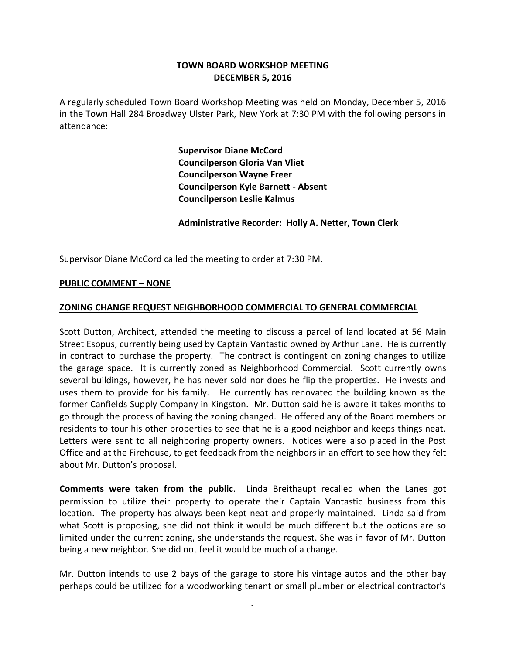# **TOWN BOARD WORKSHOP MEETING DECEMBER 5, 2016**

A regularly scheduled Town Board Workshop Meeting was held on Monday, December 5, 2016 in the Town Hall 284 Broadway Ulster Park, New York at 7:30 PM with the following persons in attendance:

> **Supervisor Diane McCord Councilperson Gloria Van Vliet Councilperson Wayne Freer Councilperson Kyle Barnett - Absent Councilperson Leslie Kalmus**

**Administrative Recorder: Holly A. Netter, Town Clerk**

Supervisor Diane McCord called the meeting to order at 7:30 PM.

#### **PUBLIC COMMENT – NONE**

#### **ZONING CHANGE REQUEST NEIGHBORHOOD COMMERCIAL TO GENERAL COMMERCIAL**

Scott Dutton, Architect, attended the meeting to discuss a parcel of land located at 56 Main Street Esopus, currently being used by Captain Vantastic owned by Arthur Lane. He is currently in contract to purchase the property. The contract is contingent on zoning changes to utilize the garage space. It is currently zoned as Neighborhood Commercial. Scott currently owns several buildings, however, he has never sold nor does he flip the properties. He invests and uses them to provide for his family. He currently has renovated the building known as the former Canfields Supply Company in Kingston. Mr. Dutton said he is aware it takes months to go through the process of having the zoning changed. He offered any of the Board members or residents to tour his other properties to see that he is a good neighbor and keeps things neat. Letters were sent to all neighboring property owners. Notices were also placed in the Post Office and at the Firehouse, to get feedback from the neighbors in an effort to see how they felt about Mr. Dutton's proposal.

**Comments were taken from the public**. Linda Breithaupt recalled when the Lanes got permission to utilize their property to operate their Captain Vantastic business from this location. The property has always been kept neat and properly maintained. Linda said from what Scott is proposing, she did not think it would be much different but the options are so limited under the current zoning, she understands the request. She was in favor of Mr. Dutton being a new neighbor. She did not feel it would be much of a change.

Mr. Dutton intends to use 2 bays of the garage to store his vintage autos and the other bay perhaps could be utilized for a woodworking tenant or small plumber or electrical contractor's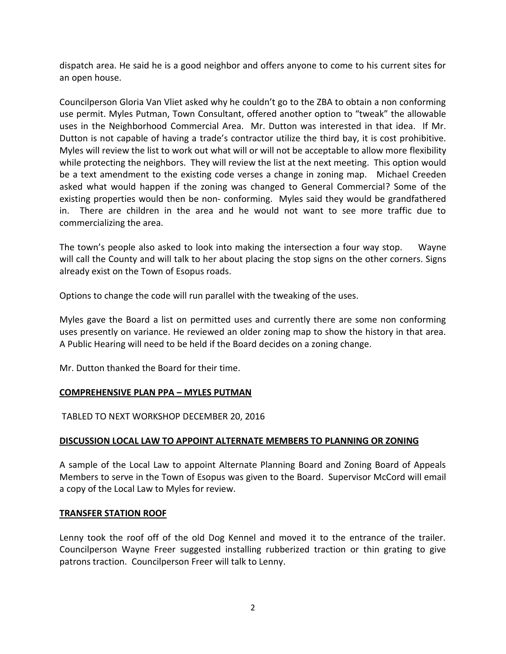dispatch area. He said he is a good neighbor and offers anyone to come to his current sites for an open house.

Councilperson Gloria Van Vliet asked why he couldn't go to the ZBA to obtain a non conforming use permit. Myles Putman, Town Consultant, offered another option to "tweak" the allowable uses in the Neighborhood Commercial Area. Mr. Dutton was interested in that idea. If Mr. Dutton is not capable of having a trade's contractor utilize the third bay, it is cost prohibitive. Myles will review the list to work out what will or will not be acceptable to allow more flexibility while protecting the neighbors. They will review the list at the next meeting. This option would be a text amendment to the existing code verses a change in zoning map. Michael Creeden asked what would happen if the zoning was changed to General Commercial? Some of the existing properties would then be non- conforming. Myles said they would be grandfathered in. There are children in the area and he would not want to see more traffic due to commercializing the area.

The town's people also asked to look into making the intersection a four way stop. Wayne will call the County and will talk to her about placing the stop signs on the other corners. Signs already exist on the Town of Esopus roads.

Options to change the code will run parallel with the tweaking of the uses.

Myles gave the Board a list on permitted uses and currently there are some non conforming uses presently on variance. He reviewed an older zoning map to show the history in that area. A Public Hearing will need to be held if the Board decides on a zoning change.

Mr. Dutton thanked the Board for their time.

# **COMPREHENSIVE PLAN PPA – MYLES PUTMAN**

TABLED TO NEXT WORKSHOP DECEMBER 20, 2016

## **DISCUSSION LOCAL LAW TO APPOINT ALTERNATE MEMBERS TO PLANNING OR ZONING**

A sample of the Local Law to appoint Alternate Planning Board and Zoning Board of Appeals Members to serve in the Town of Esopus was given to the Board. Supervisor McCord will email a copy of the Local Law to Myles for review.

## **TRANSFER STATION ROOF**

Lenny took the roof off of the old Dog Kennel and moved it to the entrance of the trailer. Councilperson Wayne Freer suggested installing rubberized traction or thin grating to give patrons traction. Councilperson Freer will talk to Lenny.